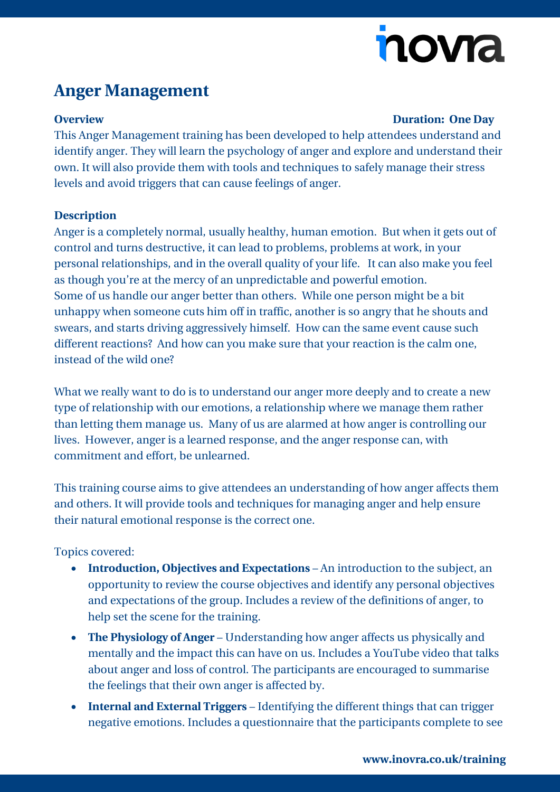# nova

### **Anger Management**

#### **Overview Duration: One Day**

This Anger Management training has been developed to help attendees understand and identify anger. They will learn the psychology of anger and explore and understand their own. It will also provide them with tools and techniques to safely manage their stress levels and avoid triggers that can cause feelings of anger.

#### **Description**

Anger is a completely normal, usually healthy, human emotion. But when it gets out of control and turns destructive, it can lead to problems, problems at work, in your personal relationships, and in the overall quality of your life. It can also make you feel as though you're at the mercy of an unpredictable and powerful emotion. Some of us handle our anger better than others. While one person might be a bit unhappy when someone cuts him off in traffic, another is so angry that he shouts and swears, and starts driving aggressively himself. How can the same event cause such different reactions? And how can you make sure that your reaction is the calm one, instead of the wild one?

What we really want to do is to understand our anger more deeply and to create a new type of relationship with our emotions, a relationship where we manage them rather than letting them manage us. Many of us are alarmed at how anger is controlling our lives. However, anger is a learned response, and the anger response can, with commitment and effort, be unlearned.

This training course aims to give attendees an understanding of how anger affects them and others. It will provide tools and techniques for managing anger and help ensure their natural emotional response is the correct one.

### Topics covered:

- **Introduction, Objectives and Expectations** An introduction to the subject, an opportunity to review the course objectives and identify any personal objectives and expectations of the group. Includes a review of the definitions of anger, to help set the scene for the training.
- **The Physiology of Anger** Understanding how anger affects us physically and mentally and the impact this can have on us. Includes a YouTube video that talks about anger and loss of control. The participants are encouraged to summarise the feelings that their own anger is affected by.
- **Internal and External Triggers** Identifying the different things that can trigger negative emotions. Includes a questionnaire that the participants complete to see